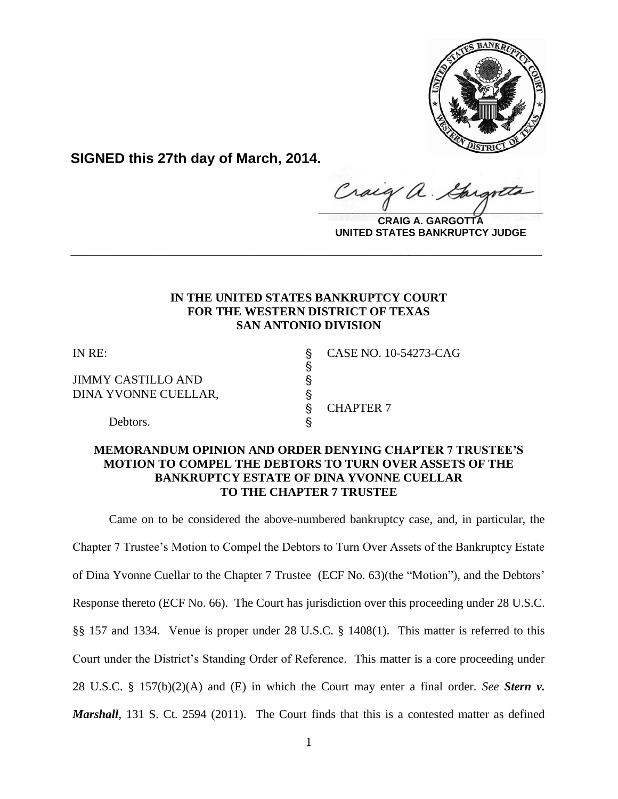

**SIGNED this 27th day of March, 2014.**

 $\frac{1}{2}$ 

**CRAIG A. GARGOTTA UNITED STATES BANKRUPTCY JUDGE**

## **IN THE UNITED STATES BANKRUPTCY COURT FOR THE WESTERN DISTRICT OF TEXAS SAN ANTONIO DIVISION**

**\_\_\_\_\_\_\_\_\_\_\_\_\_\_\_\_\_\_\_\_\_\_\_\_\_\_\_\_\_\_\_\_\_\_\_\_\_\_\_\_\_\_\_\_\_\_\_\_\_\_\_\_\_\_\_\_\_\_\_\_**

 $\S$ 

§ CHAPTER 7

JIMMY CASTILLO AND ' DINA YVONNE CUELLAR, '

IN RE: S CASE NO. 10-54273-CAG

Debtors.

## **MEMORANDUM OPINION AND ORDER DENYING CHAPTER 7 TRUSTEE'S MOTION TO COMPEL THE DEBTORS TO TURN OVER ASSETS OF THE BANKRUPTCY ESTATE OF DINA YVONNE CUELLAR TO THE CHAPTER 7 TRUSTEE**

Came on to be considered the above-numbered bankruptcy case, and, in particular, the Chapter 7 Trustee's Motion to Compel the Debtors to Turn Over Assets of the Bankruptcy Estate of Dina Yvonne Cuellar to the Chapter 7 Trustee (ECF No. 63)(the "Motion"), and the Debtors' Response thereto (ECF No. 66). The Court has jurisdiction over this proceeding under 28 U.S.C. §§ 157 and 1334. Venue is proper under 28 U.S.C. § 1408(1). This matter is referred to this Court under the District's Standing Order of Reference. This matter is a core proceeding under 28 U.S.C. § 157(b)(2)(A) and (E) in which the Court may enter a final order. *See Stern v. Marshall*, 131 S. Ct. 2594 (2011). The Court finds that this is a contested matter as defined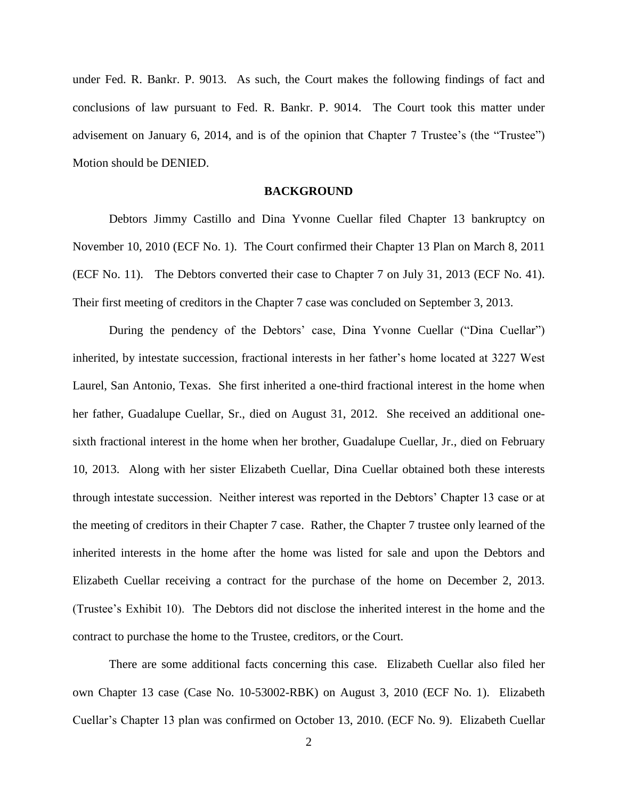under Fed. R. Bankr. P. 9013. As such, the Court makes the following findings of fact and conclusions of law pursuant to Fed. R. Bankr. P. 9014. The Court took this matter under advisement on January 6, 2014, and is of the opinion that Chapter 7 Trustee's (the "Trustee") Motion should be DENIED.

### **BACKGROUND**

Debtors Jimmy Castillo and Dina Yvonne Cuellar filed Chapter 13 bankruptcy on November 10, 2010 (ECF No. 1). The Court confirmed their Chapter 13 Plan on March 8, 2011 (ECF No. 11). The Debtors converted their case to Chapter 7 on July 31, 2013 (ECF No. 41). Their first meeting of creditors in the Chapter 7 case was concluded on September 3, 2013.

During the pendency of the Debtors' case, Dina Yvonne Cuellar ("Dina Cuellar") inherited, by intestate succession, fractional interests in her father's home located at 3227 West Laurel, San Antonio, Texas. She first inherited a one-third fractional interest in the home when her father, Guadalupe Cuellar, Sr., died on August 31, 2012. She received an additional onesixth fractional interest in the home when her brother, Guadalupe Cuellar, Jr., died on February 10, 2013. Along with her sister Elizabeth Cuellar, Dina Cuellar obtained both these interests through intestate succession. Neither interest was reported in the Debtors' Chapter 13 case or at the meeting of creditors in their Chapter 7 case. Rather, the Chapter 7 trustee only learned of the inherited interests in the home after the home was listed for sale and upon the Debtors and Elizabeth Cuellar receiving a contract for the purchase of the home on December 2, 2013. (Trustee's Exhibit 10). The Debtors did not disclose the inherited interest in the home and the contract to purchase the home to the Trustee, creditors, or the Court.

There are some additional facts concerning this case. Elizabeth Cuellar also filed her own Chapter 13 case (Case No. 10-53002-RBK) on August 3, 2010 (ECF No. 1). Elizabeth Cuellar's Chapter 13 plan was confirmed on October 13, 2010. (ECF No. 9). Elizabeth Cuellar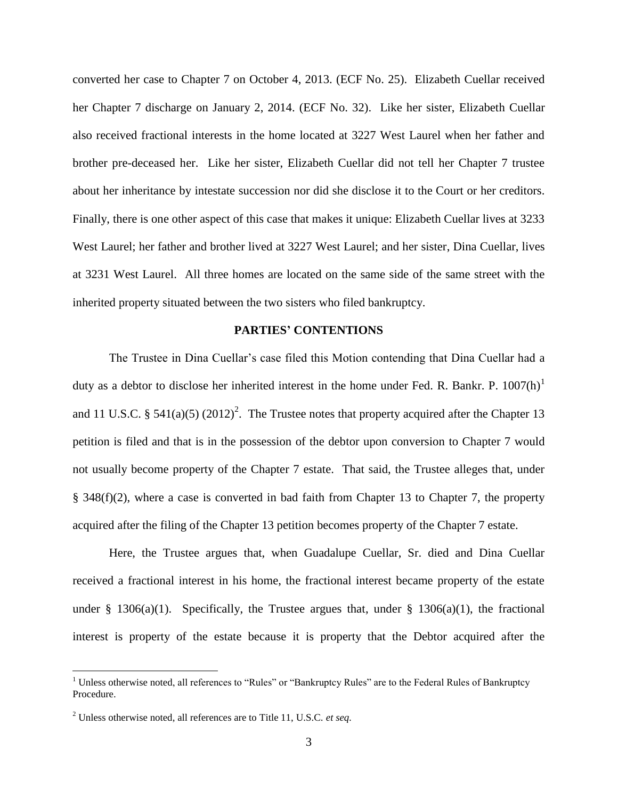converted her case to Chapter 7 on October 4, 2013. (ECF No. 25). Elizabeth Cuellar received her Chapter 7 discharge on January 2, 2014. (ECF No. 32). Like her sister, Elizabeth Cuellar also received fractional interests in the home located at 3227 West Laurel when her father and brother pre-deceased her. Like her sister, Elizabeth Cuellar did not tell her Chapter 7 trustee about her inheritance by intestate succession nor did she disclose it to the Court or her creditors. Finally, there is one other aspect of this case that makes it unique: Elizabeth Cuellar lives at 3233 West Laurel; her father and brother lived at 3227 West Laurel; and her sister, Dina Cuellar, lives at 3231 West Laurel. All three homes are located on the same side of the same street with the inherited property situated between the two sisters who filed bankruptcy.

#### **PARTIES' CONTENTIONS**

The Trustee in Dina Cuellar's case filed this Motion contending that Dina Cuellar had a duty as a debtor to disclose her inherited interest in the home under Fed. R. Bankr. P.  $1007(h)^1$ and 11 U.S.C. § 541(a)(5) (2012)<sup>2</sup>. The Trustee notes that property acquired after the Chapter 13 petition is filed and that is in the possession of the debtor upon conversion to Chapter 7 would not usually become property of the Chapter 7 estate. That said, the Trustee alleges that, under § 348(f)(2), where a case is converted in bad faith from Chapter 13 to Chapter 7, the property acquired after the filing of the Chapter 13 petition becomes property of the Chapter 7 estate.

Here, the Trustee argues that, when Guadalupe Cuellar, Sr. died and Dina Cuellar received a fractional interest in his home, the fractional interest became property of the estate under § 1306(a)(1). Specifically, the Trustee argues that, under § 1306(a)(1), the fractional interest is property of the estate because it is property that the Debtor acquired after the

 $\overline{a}$ 

<sup>&</sup>lt;sup>1</sup> Unless otherwise noted, all references to "Rules" or "Bankruptcy Rules" are to the Federal Rules of Bankruptcy Procedure.

<sup>2</sup> Unless otherwise noted, all references are to Title 11, U.S.C. *et seq.*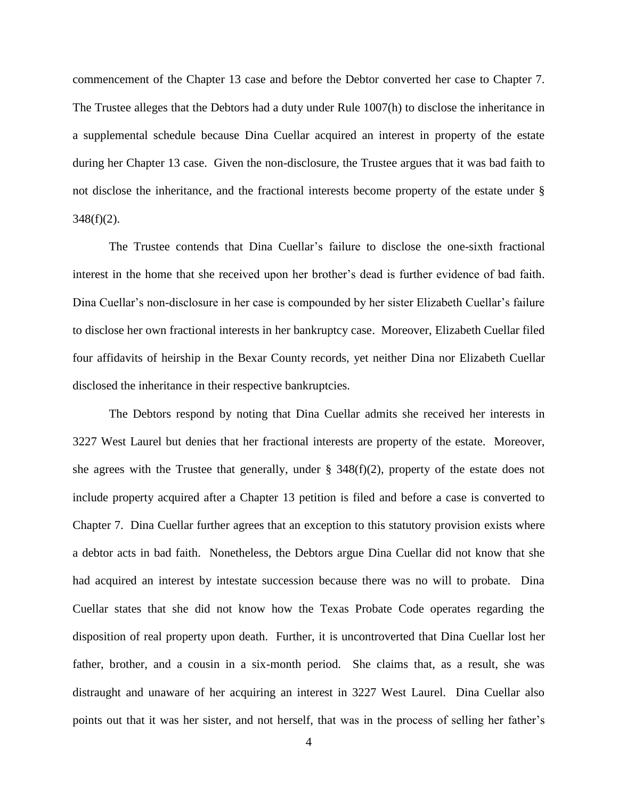commencement of the Chapter 13 case and before the Debtor converted her case to Chapter 7. The Trustee alleges that the Debtors had a duty under Rule 1007(h) to disclose the inheritance in a supplemental schedule because Dina Cuellar acquired an interest in property of the estate during her Chapter 13 case. Given the non-disclosure, the Trustee argues that it was bad faith to not disclose the inheritance, and the fractional interests become property of the estate under §  $348(f)(2)$ .

The Trustee contends that Dina Cuellar's failure to disclose the one-sixth fractional interest in the home that she received upon her brother's dead is further evidence of bad faith. Dina Cuellar's non-disclosure in her case is compounded by her sister Elizabeth Cuellar's failure to disclose her own fractional interests in her bankruptcy case. Moreover, Elizabeth Cuellar filed four affidavits of heirship in the Bexar County records, yet neither Dina nor Elizabeth Cuellar disclosed the inheritance in their respective bankruptcies.

The Debtors respond by noting that Dina Cuellar admits she received her interests in 3227 West Laurel but denies that her fractional interests are property of the estate. Moreover, she agrees with the Trustee that generally, under  $\S$  348(f)(2), property of the estate does not include property acquired after a Chapter 13 petition is filed and before a case is converted to Chapter 7. Dina Cuellar further agrees that an exception to this statutory provision exists where a debtor acts in bad faith. Nonetheless, the Debtors argue Dina Cuellar did not know that she had acquired an interest by intestate succession because there was no will to probate. Dina Cuellar states that she did not know how the Texas Probate Code operates regarding the disposition of real property upon death. Further, it is uncontroverted that Dina Cuellar lost her father, brother, and a cousin in a six-month period. She claims that, as a result, she was distraught and unaware of her acquiring an interest in 3227 West Laurel. Dina Cuellar also points out that it was her sister, and not herself, that was in the process of selling her father's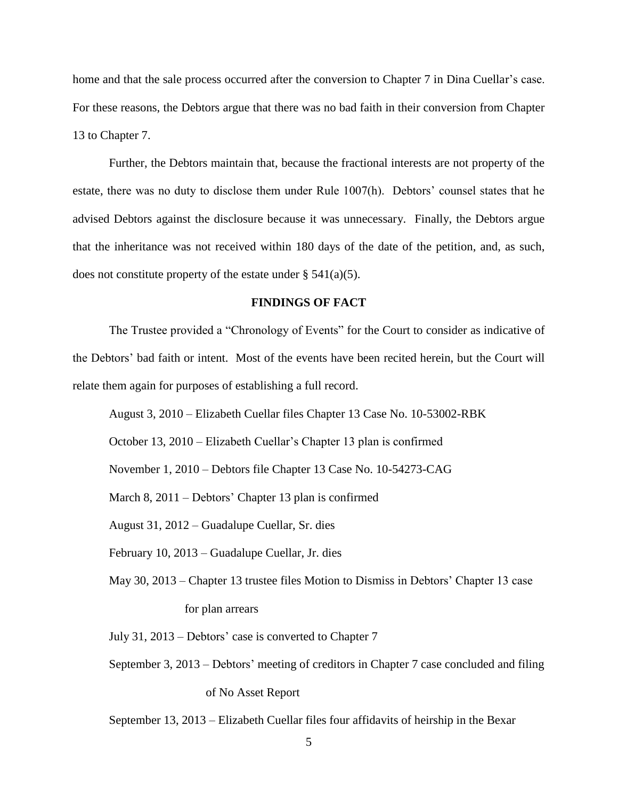home and that the sale process occurred after the conversion to Chapter 7 in Dina Cuellar's case. For these reasons, the Debtors argue that there was no bad faith in their conversion from Chapter 13 to Chapter 7.

Further, the Debtors maintain that, because the fractional interests are not property of the estate, there was no duty to disclose them under Rule 1007(h). Debtors' counsel states that he advised Debtors against the disclosure because it was unnecessary. Finally, the Debtors argue that the inheritance was not received within 180 days of the date of the petition, and, as such, does not constitute property of the estate under  $\S$  541(a)(5).

### **FINDINGS OF FACT**

The Trustee provided a "Chronology of Events" for the Court to consider as indicative of the Debtors' bad faith or intent. Most of the events have been recited herein, but the Court will relate them again for purposes of establishing a full record.

August 3, 2010 – Elizabeth Cuellar files Chapter 13 Case No. 10-53002-RBK

October 13, 2010 – Elizabeth Cuellar's Chapter 13 plan is confirmed

November 1, 2010 – Debtors file Chapter 13 Case No. 10-54273-CAG

March 8, 2011 – Debtors' Chapter 13 plan is confirmed

August 31, 2012 – Guadalupe Cuellar, Sr. dies

February 10, 2013 – Guadalupe Cuellar, Jr. dies

May 30, 2013 – Chapter 13 trustee files Motion to Dismiss in Debtors' Chapter 13 case for plan arrears

July 31, 2013 – Debtors' case is converted to Chapter 7

September 3, 2013 – Debtors' meeting of creditors in Chapter 7 case concluded and filing of No Asset Report

September 13, 2013 – Elizabeth Cuellar files four affidavits of heirship in the Bexar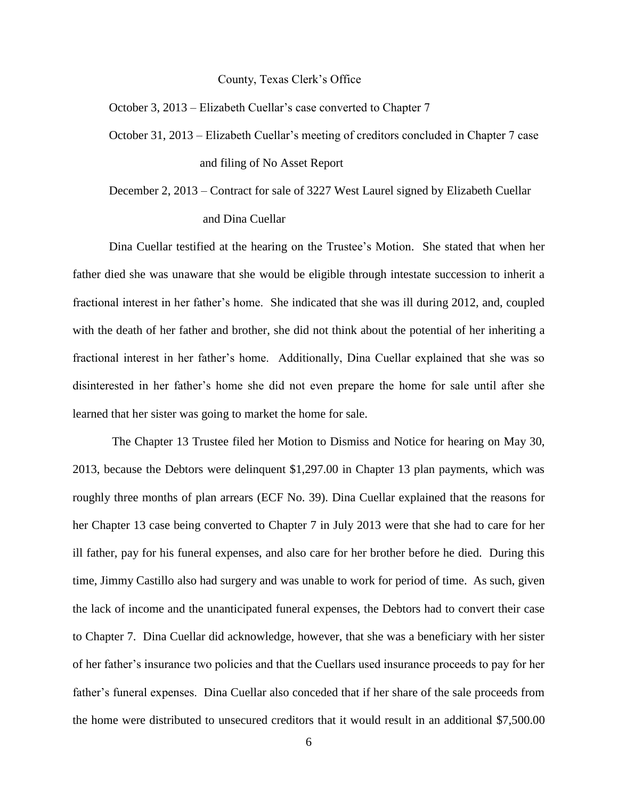#### County, Texas Clerk's Office

October 3, 2013 – Elizabeth Cuellar's case converted to Chapter 7

- October 31, 2013 Elizabeth Cuellar's meeting of creditors concluded in Chapter 7 case and filing of No Asset Report
- December 2, 2013 Contract for sale of 3227 West Laurel signed by Elizabeth Cuellar and Dina Cuellar

Dina Cuellar testified at the hearing on the Trustee's Motion. She stated that when her father died she was unaware that she would be eligible through intestate succession to inherit a fractional interest in her father's home. She indicated that she was ill during 2012, and, coupled with the death of her father and brother, she did not think about the potential of her inheriting a fractional interest in her father's home. Additionally, Dina Cuellar explained that she was so disinterested in her father's home she did not even prepare the home for sale until after she learned that her sister was going to market the home for sale.

The Chapter 13 Trustee filed her Motion to Dismiss and Notice for hearing on May 30, 2013, because the Debtors were delinquent \$1,297.00 in Chapter 13 plan payments, which was roughly three months of plan arrears (ECF No. 39). Dina Cuellar explained that the reasons for her Chapter 13 case being converted to Chapter 7 in July 2013 were that she had to care for her ill father, pay for his funeral expenses, and also care for her brother before he died. During this time, Jimmy Castillo also had surgery and was unable to work for period of time. As such, given the lack of income and the unanticipated funeral expenses, the Debtors had to convert their case to Chapter 7. Dina Cuellar did acknowledge, however, that she was a beneficiary with her sister of her father's insurance two policies and that the Cuellars used insurance proceeds to pay for her father's funeral expenses. Dina Cuellar also conceded that if her share of the sale proceeds from the home were distributed to unsecured creditors that it would result in an additional \$7,500.00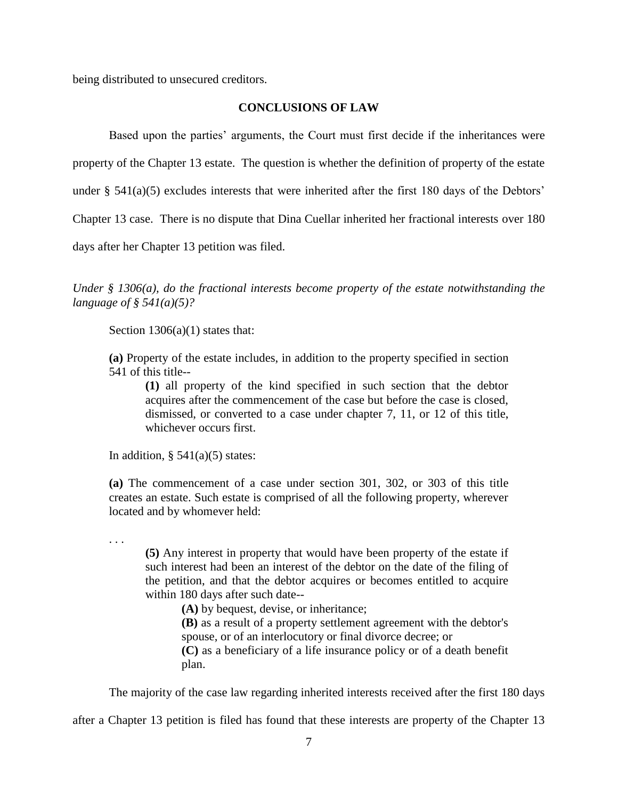being distributed to unsecured creditors.

## **CONCLUSIONS OF LAW**

Based upon the parties' arguments, the Court must first decide if the inheritances were

property of the Chapter 13 estate. The question is whether the definition of property of the estate

under  $\S$  541(a)(5) excludes interests that were inherited after the first 180 days of the Debtors'

Chapter 13 case. There is no dispute that Dina Cuellar inherited her fractional interests over 180

days after her Chapter 13 petition was filed.

*Under § 1306(a), do the fractional interests become property of the estate notwithstanding the language of § 541(a)(5)?* 

Section  $1306(a)(1)$  states that:

**(a)** Property of the estate includes, in addition to the property specified in [section](https://a.next.westlaw.com/Link/Document/FullText?findType=L&pubNum=1000546&cite=11USCAS541&originatingDoc=N37D41070A06711D8A63DAA9EBCE8FE5A&refType=LQ&originationContext=document&transitionType=DocumentItem&contextData=%28sc.Category%29)  [541](https://a.next.westlaw.com/Link/Document/FullText?findType=L&pubNum=1000546&cite=11USCAS541&originatingDoc=N37D41070A06711D8A63DAA9EBCE8FE5A&refType=LQ&originationContext=document&transitionType=DocumentItem&contextData=%28sc.Category%29) of this title--

**(1)** all property of the kind specified in such section that the debtor acquires after the commencement of the case but before the case is closed, dismissed, or converted to a case under chapter 7, 11, or 12 of this title, whichever occurs first.

In addition,  $\S$  541(a)(5) states:

. . .

**(a)** The commencement of a case under [section 301,](https://1.next.westlaw.com/Link/Document/FullText?findType=L&pubNum=1000546&cite=11USCAS301&originatingDoc=NA5E0DC2029A311E0B43684C0FBDD697B&refType=LQ&originationContext=document&transitionType=DocumentItem&contextData=%28sc.UserEnteredCitation%29) [302,](https://1.next.westlaw.com/Link/Document/FullText?findType=L&pubNum=1000546&cite=11USCAS302&originatingDoc=NA5E0DC2029A311E0B43684C0FBDD697B&refType=LQ&originationContext=document&transitionType=DocumentItem&contextData=%28sc.UserEnteredCitation%29) or [303](https://1.next.westlaw.com/Link/Document/FullText?findType=L&pubNum=1000546&cite=11USCAS303&originatingDoc=NA5E0DC2029A311E0B43684C0FBDD697B&refType=LQ&originationContext=document&transitionType=DocumentItem&contextData=%28sc.UserEnteredCitation%29) of this title creates an estate. Such estate is comprised of all the following property, wherever located and by whomever held:

**(5)** Any interest in property that would have been property of the estate if such interest had been an interest of the debtor on the date of the filing of the petition, and that the debtor acquires or becomes entitled to acquire within 180 days after such date--

**(A)** by bequest, devise, or inheritance;

**(B)** as a result of a property settlement agreement with the debtor's spouse, or of an interlocutory or final divorce decree; or

**(C)** as a beneficiary of a life insurance policy or of a death benefit plan.

The majority of the case law regarding inherited interests received after the first 180 days

after a Chapter 13 petition is filed has found that these interests are property of the Chapter 13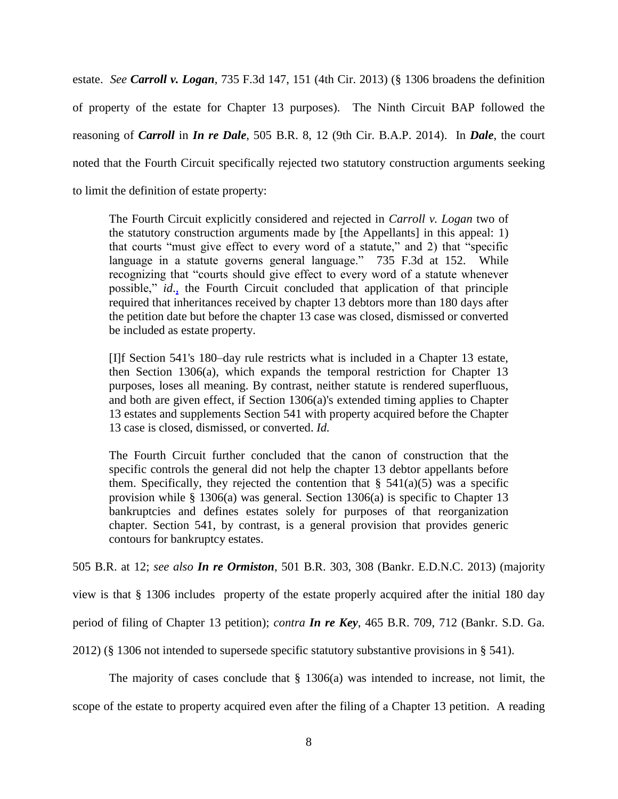estate. *See Carroll v. Logan*, 735 F.3d 147, 151 (4th Cir. 2013) (§ 1306 broadens the definition of property of the estate for Chapter 13 purposes). The Ninth Circuit BAP followed the reasoning of *Carroll* in *In re Dale*, 505 B.R. 8, 12 (9th Cir. B.A.P. 2014). In *Dale*, the court noted that the Fourth Circuit specifically rejected two statutory construction arguments seeking to limit the definition of estate property:

The Fourth Circuit explicitly considered and rejected in *Carroll v. Logan* two of the statutory construction arguments made by [the Appellants] in this appeal: 1) that courts "must give effect to every word of a statute," and 2) that "specific language in a statute governs general language." 735 F.3d at 152. While recognizing that "courts should give effect to every word of a statute whenever possible," *id*.*,* the Fourth Circuit concluded that application of that principle required that inheritances received by chapter 13 debtors more than 180 days after the petition date but before the chapter 13 case was closed, dismissed or converted be included as estate property.

[I]f Section 541's 180–day rule restricts what is included in a Chapter 13 estate, then Section 1306(a), which expands the temporal restriction for Chapter 13 purposes, loses all meaning. By contrast, neither statute is rendered superfluous, and both are given effect, if Section 1306(a)'s extended timing applies to Chapter 13 estates and supplements Section 541 with property acquired before the Chapter 13 case is closed, dismissed, or converted. *Id.*

The Fourth Circuit further concluded that the canon of construction that the specific controls the general did not help the chapter 13 debtor appellants before them. Specifically, they rejected the contention that  $\S$  541(a)(5) was a specific provision while  $\S$  1306(a) was general. Section 1306(a) is specific to Chapter 13 bankruptcies and defines estates solely for purposes of that reorganization chapter. Section 541, by contrast, is a general provision that provides generic contours for bankruptcy estates.

505 B.R. at 12; *see also In re Ormiston*, 501 B.R. 303, 308 (Bankr. E.D.N.C. 2013) (majority

view is that § 1306 includes property of the estate properly acquired after the initial 180 day

period of filing of Chapter 13 petition); *contra In re Key*, 465 B.R. 709, 712 (Bankr. S.D. Ga.

2012) (§ 1306 not intended to supersede specific statutory substantive provisions in § 541).

The majority of cases conclude that  $\S$  1306(a) was intended to increase, not limit, the

scope of the estate to property acquired even after the filing of a Chapter 13 petition. A reading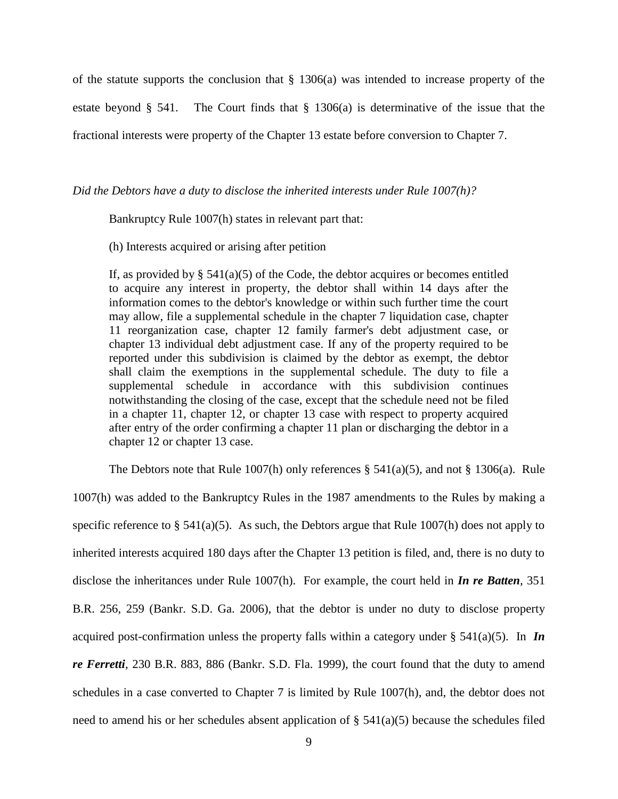of the statute supports the conclusion that  $\S$  1306(a) was intended to increase property of the estate beyond § 541. The Court finds that § 1306(a) is determinative of the issue that the fractional interests were property of the Chapter 13 estate before conversion to Chapter 7.

*Did the Debtors have a duty to disclose the inherited interests under Rule 1007(h)?*

Bankruptcy Rule 1007(h) states in relevant part that:

(h) Interests acquired or arising after petition

If, as provided by  $\S$  541(a)(5) of the Code, the debtor acquires or becomes entitled to acquire any interest in property, the debtor shall within 14 days after the information comes to the debtor's knowledge or within such further time the court may allow, file a supplemental schedule in the chapter 7 liquidation case, chapter 11 reorganization case, chapter 12 family farmer's debt adjustment case, or chapter 13 individual debt adjustment case. If any of the property required to be reported under this subdivision is claimed by the debtor as exempt, the debtor shall claim the exemptions in the supplemental schedule. The duty to file a supplemental schedule in accordance with this subdivision continues notwithstanding the closing of the case, except that the schedule need not be filed in a chapter 11, chapter 12, or chapter 13 case with respect to property acquired after entry of the order confirming a chapter 11 plan or discharging the debtor in a chapter 12 or chapter 13 case.

The Debtors note that Rule 1007(h) only references  $\S$  541(a)(5), and not  $\S$  1306(a). Rule 1007(h) was added to the Bankruptcy Rules in the 1987 amendments to the Rules by making a specific reference to  $\S$  541(a)(5). As such, the Debtors argue that Rule 1007(h) does not apply to inherited interests acquired 180 days after the Chapter 13 petition is filed, and, there is no duty to disclose the inheritances under Rule 1007(h). For example, the court held in *In re Batten*, 351 B.R. 256, 259 (Bankr. S.D. Ga. 2006), that the debtor is under no duty to disclose property acquired post-confirmation unless the property falls within a category under § 541(a)(5). In *In re Ferretti*, 230 B.R. 883, 886 (Bankr. S.D. Fla. 1999), the court found that the duty to amend schedules in a case converted to Chapter 7 is limited by Rule 1007(h), and, the debtor does not need to amend his or her schedules absent application of  $\S$  541(a)(5) because the schedules filed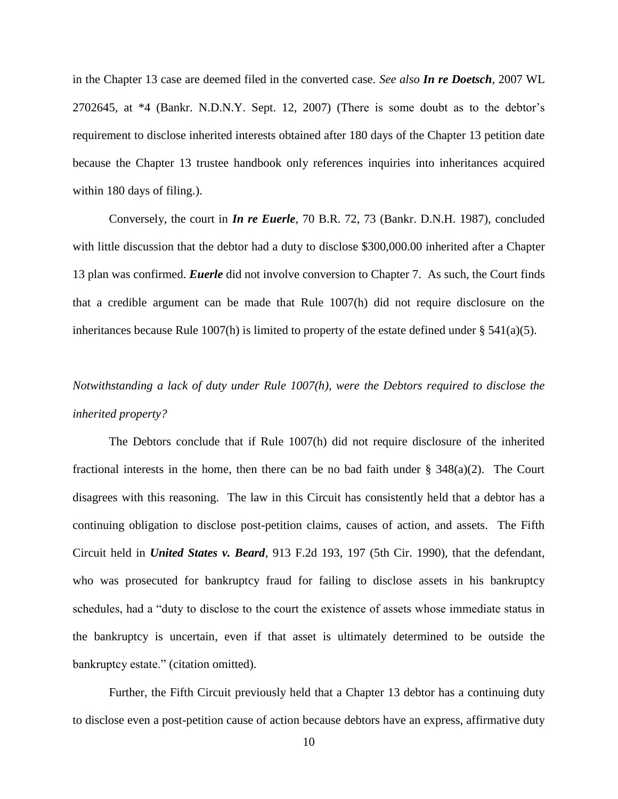in the Chapter 13 case are deemed filed in the converted case. *See also In re Doetsch*, 2007 WL 2702645, at \*4 (Bankr. N.D.N.Y. Sept. 12, 2007) (There is some doubt as to the debtor's requirement to disclose inherited interests obtained after 180 days of the Chapter 13 petition date because the Chapter 13 trustee handbook only references inquiries into inheritances acquired within 180 days of filing.).

Conversely, the court in *In re Euerle*, 70 B.R. 72, 73 (Bankr. D.N.H. 1987), concluded with little discussion that the debtor had a duty to disclose \$300,000.00 inherited after a Chapter 13 plan was confirmed. *Euerle* did not involve conversion to Chapter 7. As such, the Court finds that a credible argument can be made that Rule 1007(h) did not require disclosure on the inheritances because Rule 1007(h) is limited to property of the estate defined under  $\S 541(a)(5)$ .

# *Notwithstanding a lack of duty under Rule 1007(h), were the Debtors required to disclose the inherited property?*

The Debtors conclude that if Rule 1007(h) did not require disclosure of the inherited fractional interests in the home, then there can be no bad faith under  $\S$  348(a)(2). The Court disagrees with this reasoning. The law in this Circuit has consistently held that a debtor has a continuing obligation to disclose post-petition claims, causes of action, and assets. The Fifth Circuit held in *United States v. Beard*, 913 F.2d 193, 197 (5th Cir. 1990), that the defendant, who was prosecuted for bankruptcy fraud for failing to disclose assets in his bankruptcy schedules, had a "duty to disclose to the court the existence of assets whose immediate status in the bankruptcy is uncertain, even if that asset is ultimately determined to be outside the bankruptcy estate." (citation omitted).

Further, the Fifth Circuit previously held that a Chapter 13 debtor has a continuing duty to disclose even a post-petition cause of action because debtors have an express, affirmative duty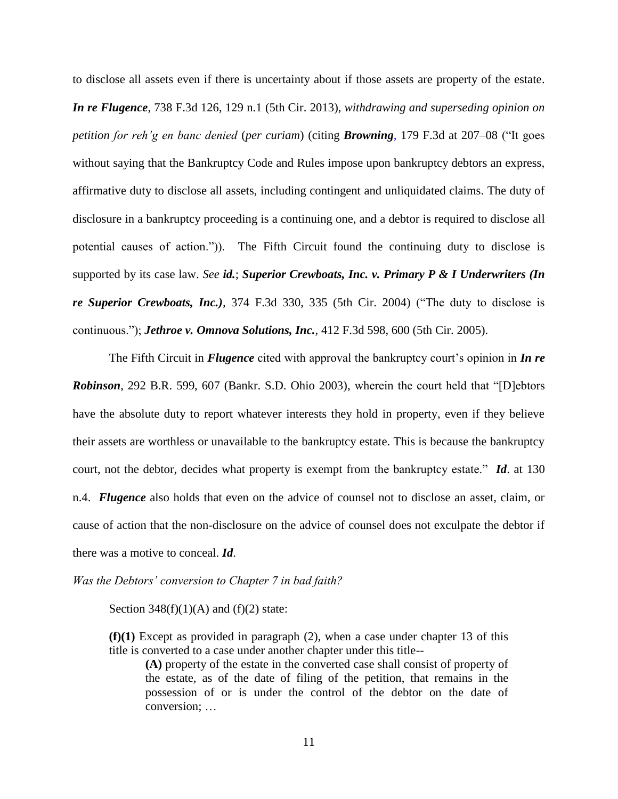to disclose all assets even if there is uncertainty about if those assets are property of the estate. *In re Flugence*, 738 F.3d 126, 129 n.1 (5th Cir. 2013), *withdrawing and superseding opinion on petition for reh'g en banc denied* (*per curiam*) (citing *Browning,* 179 F.3d at 207–08 ("It goes without saying that the Bankruptcy Code and Rules impose upon bankruptcy debtors an express, affirmative duty to disclose all assets, including contingent and unliquidated claims. The duty of disclosure in a bankruptcy proceeding is a continuing one, and a debtor is required to disclose all potential causes of action.")). The Fifth Circuit found the continuing duty to disclose is supported by its case law. *See [id.](https://a.next.westlaw.com/Link/Document/FullText?findType=Y&serNum=1999145365&originationContext=document&transitionType=DocumentItem&contextData=%28sc.Search%29)*; *Superior Crewboats, Inc. v. Primary P & I Underwriters (In re Superior Crewboats, Inc.),* 374 F.3d 330, 335 (5th Cir. 2004) ("The duty to disclose is continuous."); *Jethroe v. Omnova Solutions, Inc.,* 412 F.3d 598, 600 (5th Cir. 2005).

The Fifth Circuit in *Flugence* cited with approval the bankruptcy court's opinion in *In re Robinson*, 292 B.R. 599, 607 (Bankr. S.D. Ohio 2003), wherein the court held that "[D]ebtors have the absolute duty to report whatever interests they hold in property, even if they believe their assets are worthless or unavailable to the bankruptcy estate. This is because the bankruptcy court, not the debtor, decides what property is exempt from the bankruptcy estate." *Id*. at 130 n.4. *Flugence* also holds that even on the advice of counsel not to disclose an asset, claim, or cause of action that the non-disclosure on the advice of counsel does not exculpate the debtor if there was a motive to conceal. *Id*.

*Was the Debtors' conversion to Chapter 7 in bad faith?*

Section  $348(f)(1)(A)$  and  $(f)(2)$  state:

**(f)(1)** Except as provided in paragraph (2), when a case under chapter 13 of this title is converted to a case under another chapter under this title--

**(A)** property of the estate in the converted case shall consist of property of the estate, as of the date of filing of the petition, that remains in the possession of or is under the control of the debtor on the date of conversion; …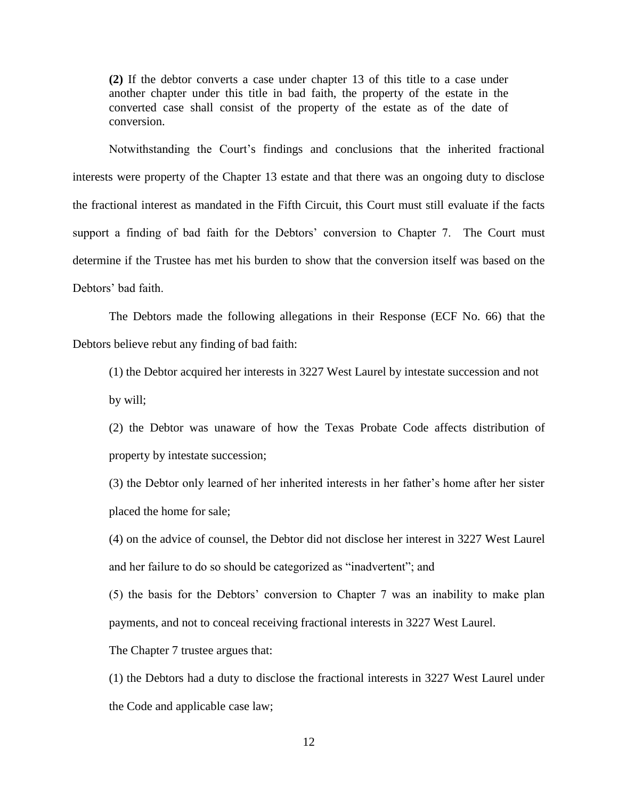**(2)** If the debtor converts a case under chapter 13 of this title to a case under another chapter under this title in bad faith, the property of the estate in the converted case shall consist of the property of the estate as of the date of conversion.

Notwithstanding the Court's findings and conclusions that the inherited fractional interests were property of the Chapter 13 estate and that there was an ongoing duty to disclose the fractional interest as mandated in the Fifth Circuit, this Court must still evaluate if the facts support a finding of bad faith for the Debtors' conversion to Chapter 7. The Court must determine if the Trustee has met his burden to show that the conversion itself was based on the Debtors' bad faith.

The Debtors made the following allegations in their Response (ECF No. 66) that the Debtors believe rebut any finding of bad faith:

(1) the Debtor acquired her interests in 3227 West Laurel by intestate succession and not by will;

(2) the Debtor was unaware of how the Texas Probate Code affects distribution of property by intestate succession;

(3) the Debtor only learned of her inherited interests in her father's home after her sister placed the home for sale;

(4) on the advice of counsel, the Debtor did not disclose her interest in 3227 West Laurel and her failure to do so should be categorized as "inadvertent"; and

(5) the basis for the Debtors' conversion to Chapter 7 was an inability to make plan payments, and not to conceal receiving fractional interests in 3227 West Laurel.

The Chapter 7 trustee argues that:

(1) the Debtors had a duty to disclose the fractional interests in 3227 West Laurel under the Code and applicable case law;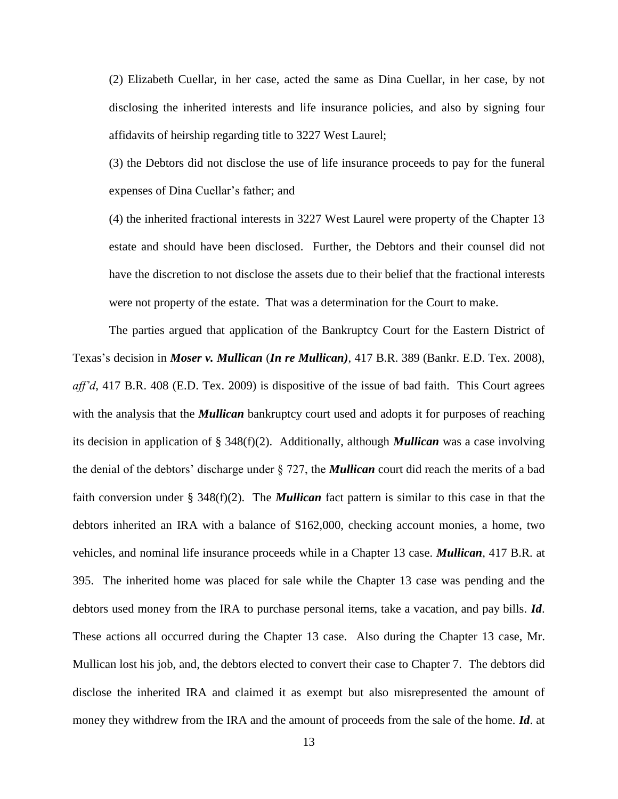(2) Elizabeth Cuellar, in her case, acted the same as Dina Cuellar, in her case, by not disclosing the inherited interests and life insurance policies, and also by signing four affidavits of heirship regarding title to 3227 West Laurel;

(3) the Debtors did not disclose the use of life insurance proceeds to pay for the funeral expenses of Dina Cuellar's father; and

(4) the inherited fractional interests in 3227 West Laurel were property of the Chapter 13 estate and should have been disclosed. Further, the Debtors and their counsel did not have the discretion to not disclose the assets due to their belief that the fractional interests were not property of the estate. That was a determination for the Court to make.

The parties argued that application of the Bankruptcy Court for the Eastern District of Texas's decision in *Moser v. Mullican* (*In re Mullican)*, 417 B.R. 389 (Bankr. E.D. Tex. 2008), *aff'd*, 417 B.R. 408 (E.D. Tex. 2009) is dispositive of the issue of bad faith. This Court agrees with the analysis that the *Mullican* bankruptcy court used and adopts it for purposes of reaching its decision in application of § 348(f)(2). Additionally, although *Mullican* was a case involving the denial of the debtors' discharge under § 727, the *Mullican* court did reach the merits of a bad faith conversion under § 348(f)(2). The *Mullican* fact pattern is similar to this case in that the debtors inherited an IRA with a balance of \$162,000, checking account monies, a home, two vehicles, and nominal life insurance proceeds while in a Chapter 13 case. *Mullican*, 417 B.R. at 395. The inherited home was placed for sale while the Chapter 13 case was pending and the debtors used money from the IRA to purchase personal items, take a vacation, and pay bills. *Id*. These actions all occurred during the Chapter 13 case. Also during the Chapter 13 case, Mr. Mullican lost his job, and, the debtors elected to convert their case to Chapter 7. The debtors did disclose the inherited IRA and claimed it as exempt but also misrepresented the amount of money they withdrew from the IRA and the amount of proceeds from the sale of the home. *Id*. at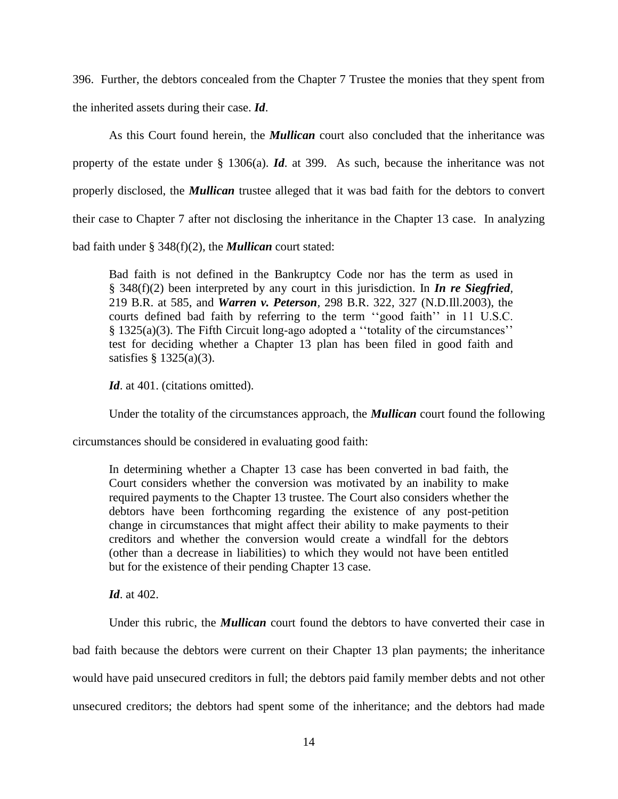396. Further, the debtors concealed from the Chapter 7 Trustee the monies that they spent from the inherited assets during their case. *Id*.

As this Court found herein, the *Mullican* court also concluded that the inheritance was property of the estate under § 1306(a). *Id*. at 399. As such, because the inheritance was not properly disclosed, the *Mullican* trustee alleged that it was bad faith for the debtors to convert their case to Chapter 7 after not disclosing the inheritance in the Chapter 13 case. In analyzing bad faith under § 348(f)(2), the *Mullican* court stated:

Bad faith is not defined in the Bankruptcy Code nor has the term as used in § 348(f)(2) been interpreted by any court in this jurisdiction. In *In re Siegfried,*  219 B.R. at 585, and *Warren v. Peterson,* 298 B.R. 322, 327 (N.D.Ill.2003), the courts defined bad faith by referring to the term ''good faith'' in 11 U.S.C. § 1325(a)(3). The Fifth Circuit long-ago adopted a ''totality of the circumstances'' test for deciding whether a Chapter 13 plan has been filed in good faith and satisfies § 1325(a)(3).

Id. at 401. (citations omitted).

Under the totality of the circumstances approach, the *Mullican* court found the following

circumstances should be considered in evaluating good faith:

In determining whether a Chapter 13 case has been converted in bad faith, the Court considers whether the conversion was motivated by an inability to make required payments to the Chapter 13 trustee. The Court also considers whether the debtors have been forthcoming regarding the existence of any post-petition change in circumstances that might affect their ability to make payments to their creditors and whether the conversion would create a windfall for the debtors (other than a decrease in liabilities) to which they would not have been entitled but for the existence of their pending Chapter 13 case.

*Id.* at 402.

Under this rubric, the *Mullican* court found the debtors to have converted their case in bad faith because the debtors were current on their Chapter 13 plan payments; the inheritance would have paid unsecured creditors in full; the debtors paid family member debts and not other unsecured creditors; the debtors had spent some of the inheritance; and the debtors had made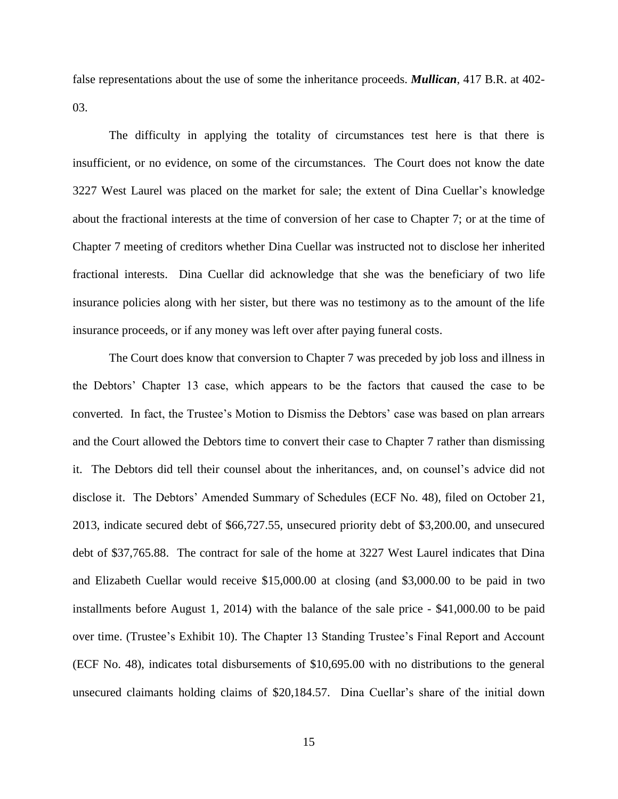false representations about the use of some the inheritance proceeds. *Mullican*, 417 B.R. at 402- 03.

The difficulty in applying the totality of circumstances test here is that there is insufficient, or no evidence, on some of the circumstances. The Court does not know the date 3227 West Laurel was placed on the market for sale; the extent of Dina Cuellar's knowledge about the fractional interests at the time of conversion of her case to Chapter 7; or at the time of Chapter 7 meeting of creditors whether Dina Cuellar was instructed not to disclose her inherited fractional interests. Dina Cuellar did acknowledge that she was the beneficiary of two life insurance policies along with her sister, but there was no testimony as to the amount of the life insurance proceeds, or if any money was left over after paying funeral costs.

The Court does know that conversion to Chapter 7 was preceded by job loss and illness in the Debtors' Chapter 13 case, which appears to be the factors that caused the case to be converted. In fact, the Trustee's Motion to Dismiss the Debtors' case was based on plan arrears and the Court allowed the Debtors time to convert their case to Chapter 7 rather than dismissing it. The Debtors did tell their counsel about the inheritances, and, on counsel's advice did not disclose it. The Debtors' Amended Summary of Schedules (ECF No. 48), filed on October 21, 2013, indicate secured debt of \$66,727.55, unsecured priority debt of \$3,200.00, and unsecured debt of \$37,765.88. The contract for sale of the home at 3227 West Laurel indicates that Dina and Elizabeth Cuellar would receive \$15,000.00 at closing (and \$3,000.00 to be paid in two installments before August 1, 2014) with the balance of the sale price - \$41,000.00 to be paid over time. (Trustee's Exhibit 10). The Chapter 13 Standing Trustee's Final Report and Account (ECF No. 48), indicates total disbursements of \$10,695.00 with no distributions to the general unsecured claimants holding claims of \$20,184.57. Dina Cuellar's share of the initial down